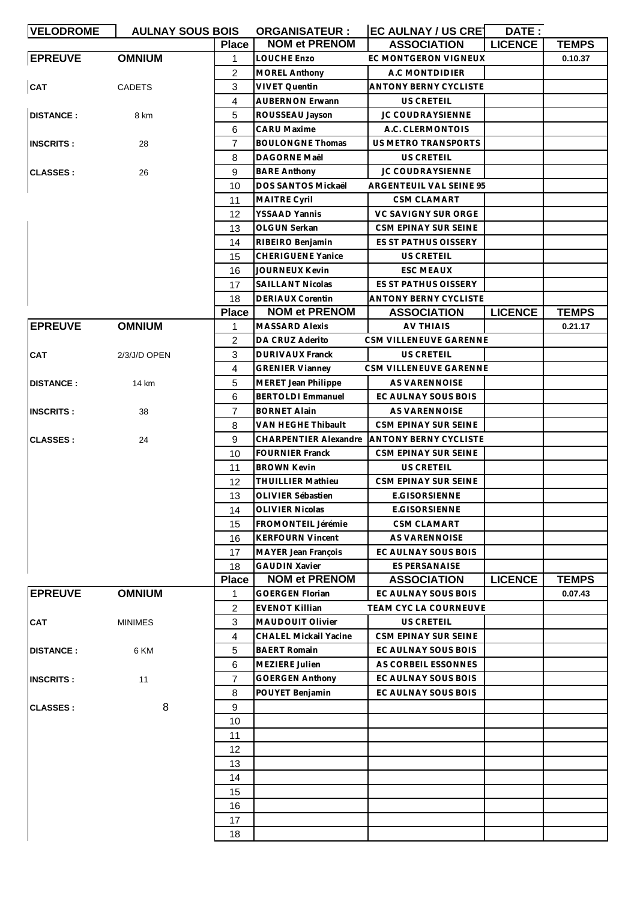| <b>VELODROME</b> | <b>AULNAY SOUS BOIS</b> |                | <b>ORGANISATEUR:</b>                               | <b>EC AULNAY / US CRET</b>   | DATE:          |              |
|------------------|-------------------------|----------------|----------------------------------------------------|------------------------------|----------------|--------------|
|                  |                         | <b>Place</b>   | <b>NOM et PRENOM</b>                               | <b>ASSOCIATION</b>           | <b>LICENCE</b> | <b>TEMPS</b> |
| <b>EPREUVE</b>   | <b>OMNIUM</b>           | 1              | <b>LOUCHE Enzo</b>                                 | EC MONTGERON VIGNEUX         |                | 0.10.37      |
|                  |                         | $\overline{2}$ | <b>MOREL Anthony</b>                               | A.C MONTDIDIER               |                |              |
| CAT              | <b>CADETS</b>           | 3              | <b>VIVET Quentin</b>                               | <b>ANTONY BERNY CYCLISTE</b> |                |              |
|                  |                         | 4              | <b>AUBERNON Erwann</b>                             | US CRETEIL                   |                |              |
| <b>DISTANCE:</b> | 8 km                    | 5              | ROUSSEAU Jayson                                    | <b>JC COUDRAYSIENNE</b>      |                |              |
|                  |                         | 6              | <b>CARU Maxime</b>                                 | A.C. CLERMONTOIS             |                |              |
| <b>INSCRITS:</b> | 28                      | 7              | <b>BOULONGNE Thomas</b>                            | <b>US METRO TRANSPORTS</b>   |                |              |
|                  |                         | 8              | <b>DAGORNE Maël</b>                                | US CRETEIL                   |                |              |
| <b>CLASSES:</b>  | 26                      | 9              | <b>BARE Anthony</b>                                | <b>JC COUDRAYSIENNE</b>      |                |              |
|                  |                         | 10             | DOS SANTOS Mickaël                                 | ARGENTEUIL VAL SEINE 95      |                |              |
|                  |                         | 11             | <b>MAITRE Cyril</b>                                | CSM CLAMART                  |                |              |
|                  |                         | 12             | <b>YSSAAD Yannis</b>                               | VC SAVIGNY SUR ORGE          |                |              |
|                  |                         | 13             | OLGUN Serkan                                       | CSM EPINAY SUR SEINE         |                |              |
|                  |                         | 14             | RIBEIRO Benjamin                                   | ES ST PATHUS OISSERY         |                |              |
|                  |                         | 15             | <b>CHERIGUENE Yanice</b>                           | US CRETEIL                   |                |              |
|                  |                         | 16             | <b>JOURNEUX Kevin</b>                              | <b>ESC MEAUX</b>             |                |              |
|                  |                         | 17             | <b>SAILLANT Nicolas</b>                            | ES ST PATHUS OISSERY         |                |              |
|                  |                         | 18             | <b>DERIAUX Corentin</b>                            | <b>ANTONY BERNY CYCLISTE</b> |                |              |
|                  |                         | <b>Place</b>   | <b>NOM et PRENOM</b>                               | <b>ASSOCIATION</b>           | <b>LICENCE</b> | <b>TEMPS</b> |
| <b>EPREUVE</b>   | <b>OMNIUM</b>           | 1              | <b>MASSARD Alexis</b>                              | <b>AV THIAIS</b>             |                | 0.21.17      |
|                  |                         | $\overline{2}$ | DA CRUZ Aderito                                    | CSM VILLENEUVE GARENNE       |                |              |
| <b>CAT</b>       | 2/3/J/D OPEN            | 3              | <b>DURIVAUX Franck</b>                             | US CRETEIL                   |                |              |
|                  |                         | 4              | <b>GRENIER Vianney</b>                             | CSM VILLENEUVE GARENNE       |                |              |
| <b>DISTANCE:</b> | 14 km                   | 5              | <b>MERET Jean Philippe</b>                         | AS VARENNOISE                |                |              |
|                  |                         | 6              | <b>BERTOLDI Emmanuel</b>                           | EC AULNAY SOUS BOIS          |                |              |
|                  |                         | $\overline{7}$ | <b>BORNET Alain</b>                                | AS VARENNOISE                |                |              |
| <b>INSCRITS:</b> | 38                      |                |                                                    |                              |                |              |
|                  |                         | 8              | VAN HEGHE Thibault<br><b>CHARPENTIER Alexandre</b> | CSM EPINAY SUR SEINE         |                |              |
| <b>CLASSES:</b>  | 24                      | 9              |                                                    | <b>ANTONY BERNY CYCLISTE</b> |                |              |
|                  |                         | 10             | <b>FOURNIER Franck</b>                             | CSM EPINAY SUR SEINE         |                |              |
|                  |                         | 11             | <b>BROWN Kevin</b>                                 | US CRETEIL                   |                |              |
|                  |                         | 12             | <b>THUILLIER Mathieu</b>                           | CSM EPINAY SUR SEINE         |                |              |
|                  |                         | 13             | OLIVIER Sébastien                                  | <b>E.GISORSIENNE</b>         |                |              |
|                  |                         | 14             | <b>OLIVIER Nicolas</b>                             | E.GISORSIENNE                |                |              |
|                  |                         | 15             | FROMONTEIL Jérémie                                 | <b>CSM CLAMART</b>           |                |              |
|                  |                         | 16             | <b>KERFOURN Vincent</b>                            | <b>AS VARENNOISE</b>         |                |              |
|                  |                         | 17             | <b>MAYER Jean François</b>                         | EC AULNAY SOUS BOIS          |                |              |
|                  |                         | 18             | <b>GAUDIN Xavier</b>                               | <b>ES PERSANAISE</b>         |                |              |
|                  |                         | <b>Place</b>   | <b>NOM et PRENOM</b>                               | <b>ASSOCIATION</b>           | <b>LICENCE</b> | <b>TEMPS</b> |
| <b>EPREUVE</b>   | <b>OMNIUM</b>           | 1.             | <b>GOERGEN Florian</b>                             | EC AULNAY SOUS BOIS          |                | 0.07.43      |
|                  |                         | $\overline{2}$ | <b>EVENOT Killian</b>                              | <b>TEAM CYC LA COURNEUVE</b> |                |              |
| <b>CAT</b>       | <b>MINIMES</b>          | 3              | <b>MAUDOUIT Olivier</b>                            | US CRETEIL                   |                |              |
|                  |                         | 4              | CHALEL Mickail Yacine                              | CSM EPINAY SUR SEINE         |                |              |
| <b>DISTANCE:</b> | 6 KM                    | 5              | <b>BAERT Romain</b>                                | EC AULNAY SOUS BOIS          |                |              |
|                  |                         | 6              | MEZIERE Julien                                     | AS CORBEIL ESSONNES          |                |              |
| <b>INSCRITS:</b> | 11                      | 7              | <b>GOERGEN Anthony</b>                             | EC AULNAY SOUS BOIS          |                |              |
|                  |                         | 8              | POUYET Benjamin                                    | EC AULNAY SOUS BOIS          |                |              |
| <b>CLASSES:</b>  | 8                       | 9              |                                                    |                              |                |              |
|                  |                         | 10             |                                                    |                              |                |              |
|                  |                         | 11             |                                                    |                              |                |              |
|                  |                         | 12             |                                                    |                              |                |              |
|                  |                         | 13             |                                                    |                              |                |              |
|                  |                         | 14             |                                                    |                              |                |              |
|                  |                         | 15             |                                                    |                              |                |              |
|                  |                         | 16             |                                                    |                              |                |              |
|                  |                         | 17             |                                                    |                              |                |              |
|                  |                         | 18             |                                                    |                              |                |              |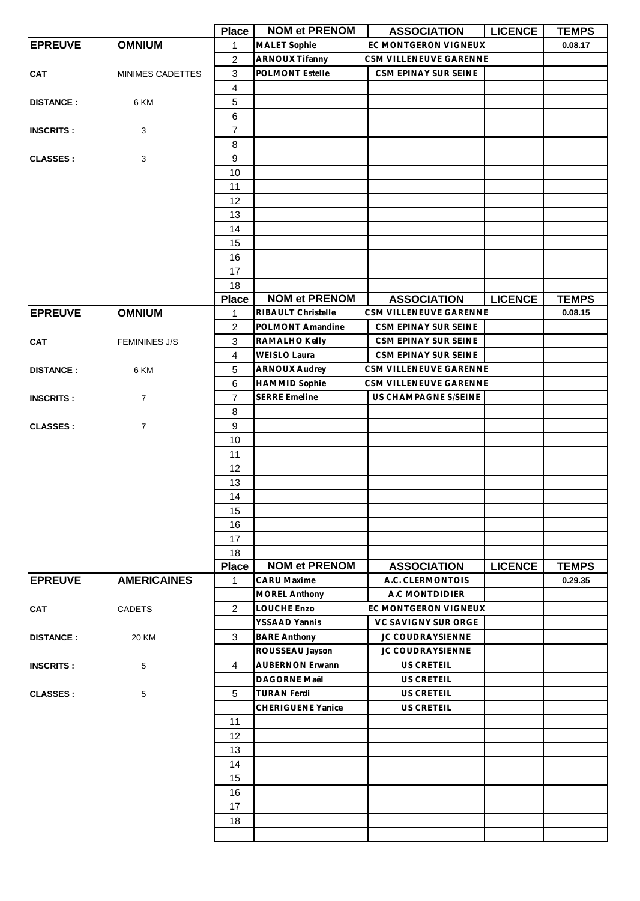|                  |                      | <b>Place</b>            | <b>NOM et PRENOM</b>     | <b>ASSOCIATION</b>     | <b>LICENCE</b> | <b>TEMPS</b> |
|------------------|----------------------|-------------------------|--------------------------|------------------------|----------------|--------------|
| <b>EPREUVE</b>   | <b>OMNIUM</b>        | 1                       | <b>MALET Sophie</b>      | EC MONTGERON VIGNEUX   |                | 0.08.17      |
|                  |                      | $\overline{c}$          | <b>ARNOUX Tifanny</b>    | CSM VILLENEUVE GARENNE |                |              |
| <b>CAT</b>       | MINIMES CADETTES     | $\mathbf{3}$            | POLMONT Estelle          | CSM EPINAY SUR SEINE   |                |              |
|                  |                      | $\overline{\mathbf{4}}$ |                          |                        |                |              |
| <b>DISTANCE:</b> | 6 KM                 | 5                       |                          |                        |                |              |
|                  |                      | 6                       |                          |                        |                |              |
| <b>INSCRITS:</b> | 3                    | $\overline{7}$          |                          |                        |                |              |
|                  |                      | 8                       |                          |                        |                |              |
| <b>CLASSES:</b>  | 3                    | 9                       |                          |                        |                |              |
|                  |                      | 10                      |                          |                        |                |              |
|                  |                      | 11                      |                          |                        |                |              |
|                  |                      | 12                      |                          |                        |                |              |
|                  |                      | 13                      |                          |                        |                |              |
|                  |                      | 14                      |                          |                        |                |              |
|                  |                      | 15                      |                          |                        |                |              |
|                  |                      | 16                      |                          |                        |                |              |
|                  |                      | 17                      |                          |                        |                |              |
|                  |                      | 18                      |                          |                        |                |              |
|                  |                      | <b>Place</b>            | <b>NOM et PRENOM</b>     | <b>ASSOCIATION</b>     | <b>LICENCE</b> | <b>TEMPS</b> |
| <b>EPREUVE</b>   | <b>OMNIUM</b>        | 1                       | RIBAULT Christelle       | CSM VILLENEUVE GARENNE |                | 0.08.15      |
|                  |                      | $\overline{2}$          | POLMONT Amandine         | CSM EPINAY SUR SEINE   |                |              |
| <b>CAT</b>       | <b>FEMININES J/S</b> | 3                       | RAMALHO Kelly            | CSM EPINAY SUR SEINE   |                |              |
|                  |                      | $\overline{4}$          | <b>WEISLO Laura</b>      | CSM EPINAY SUR SEINE   |                |              |
| <b>DISTANCE:</b> | 6 KM                 | 5                       | <b>ARNOUX Audrey</b>     | CSM VILLENEUVE GARENNE |                |              |
|                  |                      | 6                       | <b>HAMMID Sophie</b>     | CSM VILLENEUVE GARENNE |                |              |
| <b>INSCRITS:</b> | 7                    | $\overline{7}$          | <b>SERRE Emeline</b>     | US CHAMPAGNE S/SEINE   |                |              |
|                  |                      | 8                       |                          |                        |                |              |
| <b>CLASSES:</b>  | 7                    | $\boldsymbol{9}$        |                          |                        |                |              |
|                  |                      | 10                      |                          |                        |                |              |
|                  |                      | 11                      |                          |                        |                |              |
|                  |                      | 12                      |                          |                        |                |              |
|                  |                      | 13                      |                          |                        |                |              |
|                  |                      | 14                      |                          |                        |                |              |
|                  |                      | 15                      |                          |                        |                |              |
|                  |                      | 16                      |                          |                        |                |              |
|                  |                      | 17                      |                          |                        |                |              |
|                  |                      | 18                      |                          |                        |                |              |
|                  |                      | <b>Place</b>            | <b>NOM et PRENOM</b>     | <b>ASSOCIATION</b>     | <b>LICENCE</b> | <b>TEMPS</b> |
| <b>EPREUVE</b>   | <b>AMERICAINES</b>   | 1                       | <b>CARU Maxime</b>       | A.C. CLERMONTOIS       |                | 0.29.35      |
|                  |                      |                         | <b>MOREL Anthony</b>     | A.C MONTDIDIER         |                |              |
| <b>CAT</b>       | <b>CADETS</b>        | $\overline{2}$          | LOUCHE Enzo              | EC MONTGERON VIGNEUX   |                |              |
|                  |                      |                         | YSSAAD Yannis            | VC SAVIGNY SUR ORGE    |                |              |
| <b>DISTANCE:</b> | 20 KM                | 3                       | <b>BARE Anthony</b>      | JC COUDRAYSIENNE       |                |              |
|                  |                      |                         | ROUSSEAU Jayson          | JC COUDRAYSIENNE       |                |              |
| <b>INSCRITS:</b> | 5                    | $\overline{4}$          | <b>AUBERNON Erwann</b>   | US CRETEIL             |                |              |
|                  |                      |                         | DAGORNE Maël             | US CRETEIL             |                |              |
| <b>CLASSES:</b>  | 5                    | 5                       | <b>TURAN Ferdi</b>       | US CRETEIL             |                |              |
|                  |                      |                         | <b>CHERIGUENE Yanice</b> | US CRETEIL             |                |              |
|                  |                      | 11                      |                          |                        |                |              |
|                  |                      | 12                      |                          |                        |                |              |
|                  |                      | 13                      |                          |                        |                |              |
|                  |                      | 14                      |                          |                        |                |              |
|                  |                      | 15                      |                          |                        |                |              |
|                  |                      | 16                      |                          |                        |                |              |
|                  |                      | 17                      |                          |                        |                |              |
|                  |                      | 18                      |                          |                        |                |              |
|                  |                      |                         |                          |                        |                |              |
|                  |                      |                         |                          |                        |                |              |